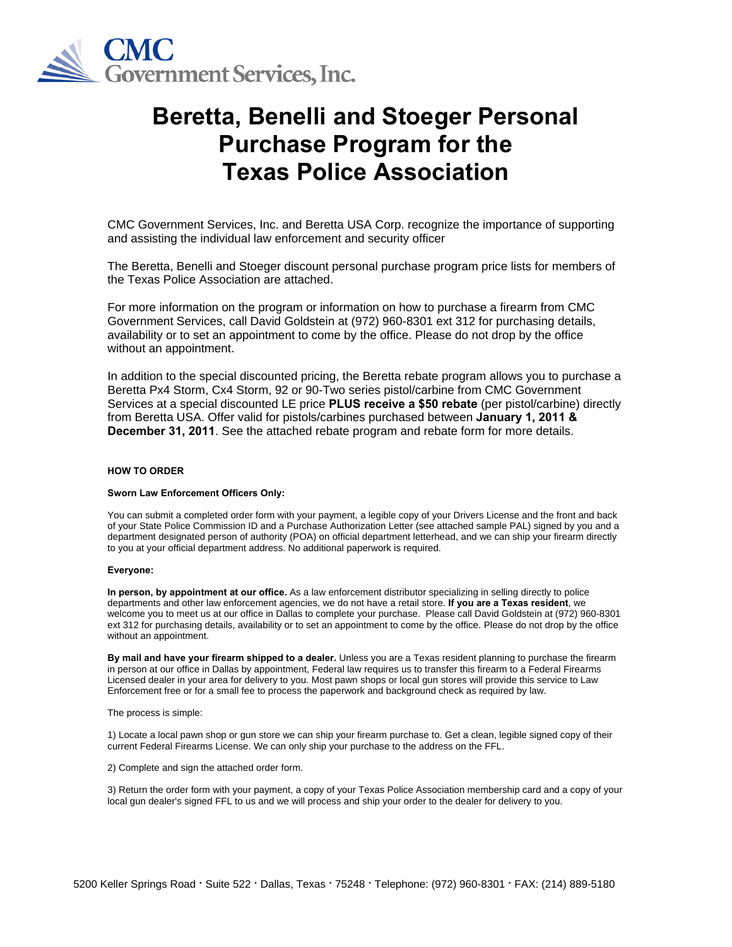

# **Beretta, Benelli and Stoeger Personal Purchase Program for the Texas Police Association**

CMC Government Services, Inc. and Beretta USA Corp. recognize the importance of supporting and assisting the individual law enforcement and security officer

The Beretta, Benelli and Stoeger discount personal purchase program price lists for members of the Texas Police Association are attached.

For more information on the program or information on how to purchase a firearm from CMC Government Services, call David Goldstein at (972) 960-8301 ext 312 for purchasing details, availability or to set an appointment to come by the office. Please do not drop by the office without an appointment.

In addition to the special discounted pricing, the Beretta rebate program allows you to purchase a Beretta Px4 Storm, Cx4 Storm, 92 or 90-Two series pistol/carbine from CMC Government Services at a special discounted LE price **PLUS receive a \$50 rebate** (per pistol/carbine) directly from Beretta USA. Offer valid for pistols/carbines purchased between **January 1, 2011 & December 31, 2011**. See the attached rebate program and rebate form for more details.

#### **HOW TO ORDER**

### **Sworn Law Enforcement Officers Only:**

You can submit a completed order form with your payment, a legible copy of your Drivers License and the front and back of your State Police Commission ID and a Purchase Authorization Letter (see attached sample PAL) signed by you and a department designated person of authority (POA) on official department letterhead, and we can ship your firearm directly to you at your official department address. No additional paperwork is required.

#### **Everyone:**

**In person, by appointment at our office.** As a law enforcement distributor specializing in selling directly to police departments and other law enforcement agencies, we do not have a retail store. **If you are a Texas resident**, we welcome you to meet us at our office in Dallas to complete your purchase. Please call David Goldstein at (972) 960-8301 ext 312 for purchasing details, availability or to set an appointment to come by the office. Please do not drop by the office without an appointment.

**By mail and have your firearm shipped to a dealer.** Unless you are a Texas resident planning to purchase the firearm in person at our office in Dallas by appointment, Federal law requires us to transfer this firearm to a Federal Firearms Licensed dealer in your area for delivery to you. Most pawn shops or local gun stores will provide this service to Law Enforcement free or for a small fee to process the paperwork and background check as required by law.

The process is simple:

1) Locate a local pawn shop or gun store we can ship your firearm purchase to. Get a clean, legible signed copy of their current Federal Firearms License. We can only ship your purchase to the address on the FFL.

2) Complete and sign the attached order form.

3) Return the order form with your payment, a copy of your Texas Police Association membership card and a copy of your local gun dealer's signed FFL to us and we will process and ship your order to the dealer for delivery to you.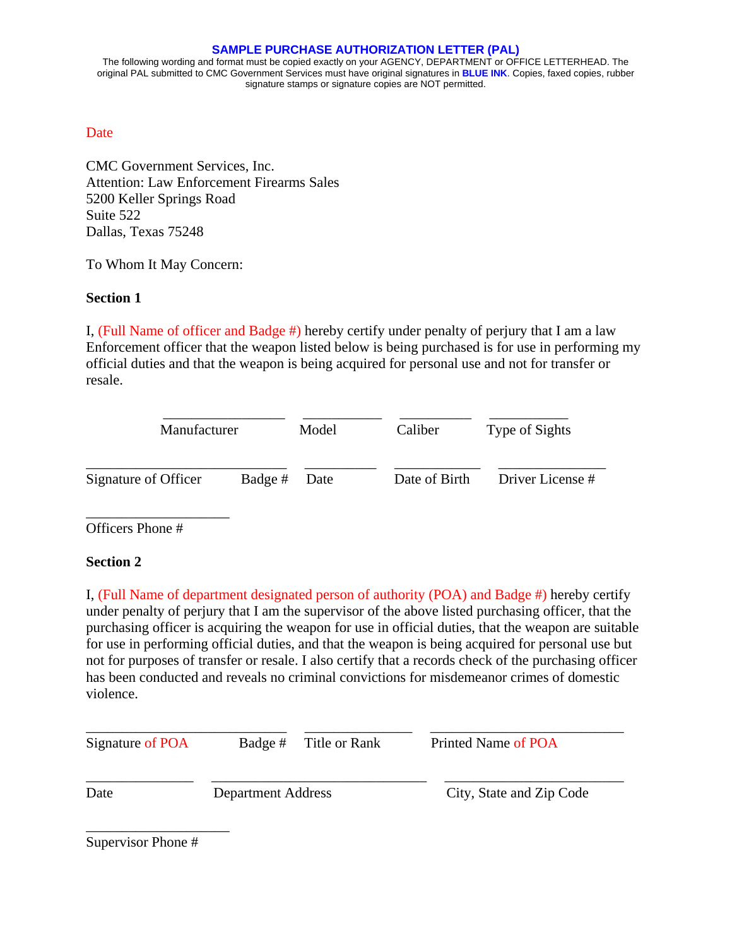### **SAMPLE PURCHASE AUTHORIZATION LETTER (PAL)**

The following wording and format must be copied exactly on your AGENCY, DEPARTMENT or OFFICE LETTERHEAD. The original PAL submitted to CMC Government Services must have original signatures in **BLUE INK**. Copies, faxed copies, rubber signature stamps or signature copies are NOT permitted.

## **Date**

CMC Government Services, Inc. Attention: Law Enforcement Firearms Sales 5200 Keller Springs Road Suite 522 Dallas, Texas 75248

To Whom It May Concern:

## **Section 1**

I, (Full Name of officer and Badge #) hereby certify under penalty of perjury that I am a law Enforcement officer that the weapon listed below is being purchased is for use in performing my official duties and that the weapon is being acquired for personal use and not for transfer or resale.

| Manufacturer         |              | Model | Caliber       | Type of Sights   |
|----------------------|--------------|-------|---------------|------------------|
| Signature of Officer | Badge # Date |       | Date of Birth | Driver License # |

Officers Phone #

\_\_\_\_\_\_\_\_\_\_\_\_\_\_\_\_\_\_\_\_

## **Section 2**

I, (Full Name of department designated person of authority (POA) and Badge #) hereby certify under penalty of perjury that I am the supervisor of the above listed purchasing officer, that the purchasing officer is acquiring the weapon for use in official duties, that the weapon are suitable for use in performing official duties, and that the weapon is being acquired for personal use but not for purposes of transfer or resale. I also certify that a records check of the purchasing officer has been conducted and reveals no criminal convictions for misdemeanor crimes of domestic violence.

| Signature of POA | Badge # Title or Rank     |  | Printed Name of POA      |  |  |
|------------------|---------------------------|--|--------------------------|--|--|
| Date             | <b>Department Address</b> |  | City, State and Zip Code |  |  |

Supervisor Phone #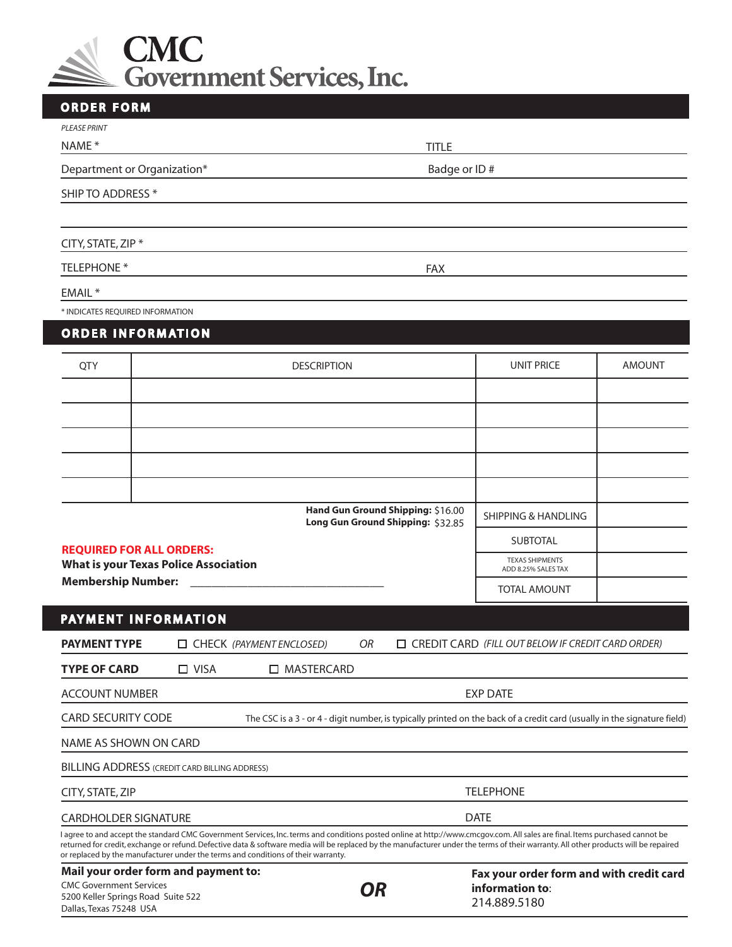

| <b>ORDER FORM</b>                           |                                                                                                                                                                                                                                                                                                                                                                                                                                                           |                                                   |               |  |  |
|---------------------------------------------|-----------------------------------------------------------------------------------------------------------------------------------------------------------------------------------------------------------------------------------------------------------------------------------------------------------------------------------------------------------------------------------------------------------------------------------------------------------|---------------------------------------------------|---------------|--|--|
| <b>PLEASE PRINT</b>                         |                                                                                                                                                                                                                                                                                                                                                                                                                                                           |                                                   |               |  |  |
| NAME*                                       | <b>TITLE</b>                                                                                                                                                                                                                                                                                                                                                                                                                                              |                                                   |               |  |  |
| Department or Organization*<br>Badge or ID# |                                                                                                                                                                                                                                                                                                                                                                                                                                                           |                                                   |               |  |  |
| SHIP TO ADDRESS *                           |                                                                                                                                                                                                                                                                                                                                                                                                                                                           |                                                   |               |  |  |
|                                             |                                                                                                                                                                                                                                                                                                                                                                                                                                                           |                                                   |               |  |  |
| CITY, STATE, ZIP *                          |                                                                                                                                                                                                                                                                                                                                                                                                                                                           |                                                   |               |  |  |
| <b>TELEPHONE *</b>                          | <b>FAX</b>                                                                                                                                                                                                                                                                                                                                                                                                                                                |                                                   |               |  |  |
| EMAIL *                                     |                                                                                                                                                                                                                                                                                                                                                                                                                                                           |                                                   |               |  |  |
| * INDICATES REQUIRED INFORMATION            |                                                                                                                                                                                                                                                                                                                                                                                                                                                           |                                                   |               |  |  |
| <b>ORDER INFORMATION</b>                    |                                                                                                                                                                                                                                                                                                                                                                                                                                                           |                                                   |               |  |  |
| <b>QTY</b>                                  | <b>DESCRIPTION</b>                                                                                                                                                                                                                                                                                                                                                                                                                                        | <b>UNIT PRICE</b>                                 | <b>AMOUNT</b> |  |  |
|                                             |                                                                                                                                                                                                                                                                                                                                                                                                                                                           |                                                   |               |  |  |
|                                             |                                                                                                                                                                                                                                                                                                                                                                                                                                                           |                                                   |               |  |  |
|                                             |                                                                                                                                                                                                                                                                                                                                                                                                                                                           |                                                   |               |  |  |
|                                             |                                                                                                                                                                                                                                                                                                                                                                                                                                                           |                                                   |               |  |  |
|                                             |                                                                                                                                                                                                                                                                                                                                                                                                                                                           |                                                   |               |  |  |
|                                             | Hand Gun Ground Shipping: \$16.00<br>Long Gun Ground Shipping: \$32.85                                                                                                                                                                                                                                                                                                                                                                                    | <b>SHIPPING &amp; HANDLING</b>                    |               |  |  |
|                                             |                                                                                                                                                                                                                                                                                                                                                                                                                                                           | <b>SUBTOTAL</b>                                   |               |  |  |
| <b>REQUIRED FOR ALL ORDERS:</b>             | <b>What is your Texas Police Association</b>                                                                                                                                                                                                                                                                                                                                                                                                              | <b>TEXAS SHIPMENTS</b><br>ADD 8.25% SALES TAX     |               |  |  |
| <b>Membership Number:</b>                   |                                                                                                                                                                                                                                                                                                                                                                                                                                                           | <b>TOTAL AMOUNT</b>                               |               |  |  |
| PAYMENT INFORMATION                         |                                                                                                                                                                                                                                                                                                                                                                                                                                                           |                                                   |               |  |  |
| <b>PAYMENT TYPE</b>                         | CHECK (PAYMENT ENCLOSED)<br>OR                                                                                                                                                                                                                                                                                                                                                                                                                            | CREDIT CARD (FILL OUT BELOW IF CREDIT CARD ORDER) |               |  |  |
| <b>TYPE OF CARD</b>                         | $\Box$ VISA<br>□ MASTERCARD                                                                                                                                                                                                                                                                                                                                                                                                                               |                                                   |               |  |  |
| <b>ACCOUNT NUMBER</b>                       |                                                                                                                                                                                                                                                                                                                                                                                                                                                           | <b>EXP DATE</b>                                   |               |  |  |
| <b>CARD SECURITY CODE</b>                   | The CSC is a 3 - or 4 - digit number, is typically printed on the back of a credit card (usually in the signature field)                                                                                                                                                                                                                                                                                                                                  |                                                   |               |  |  |
| NAME AS SHOWN ON CARD                       |                                                                                                                                                                                                                                                                                                                                                                                                                                                           |                                                   |               |  |  |
|                                             | <b>BILLING ADDRESS (CREDIT CARD BILLING ADDRESS)</b>                                                                                                                                                                                                                                                                                                                                                                                                      |                                                   |               |  |  |
| CITY, STATE, ZIP                            |                                                                                                                                                                                                                                                                                                                                                                                                                                                           | <b>TELEPHONE</b>                                  |               |  |  |
| <b>CARDHOLDER SIGNATURE</b>                 |                                                                                                                                                                                                                                                                                                                                                                                                                                                           | <b>DATE</b>                                       |               |  |  |
|                                             | I agree to and accept the standard CMC Government Services, Inc. terms and conditions posted online at http://www.cmcgov.com. All sales are final. Items purchased cannot be<br>returned for credit, exchange or refund. Defective data & software media will be replaced by the manufacturer under the terms of their warranty. All other products will be repaired<br>or replaced by the manufacturer under the terms and conditions of their warranty. |                                                   |               |  |  |

| Mail your order form and payment to:                          |           | Fax your order form and with credit card |
|---------------------------------------------------------------|-----------|------------------------------------------|
| CMC Government Services                                       | <b>OR</b> | information to:                          |
| 5200 Keller Springs Road Suite 522<br>Dallas, Texas 75248 USA |           | 214.889.5180                             |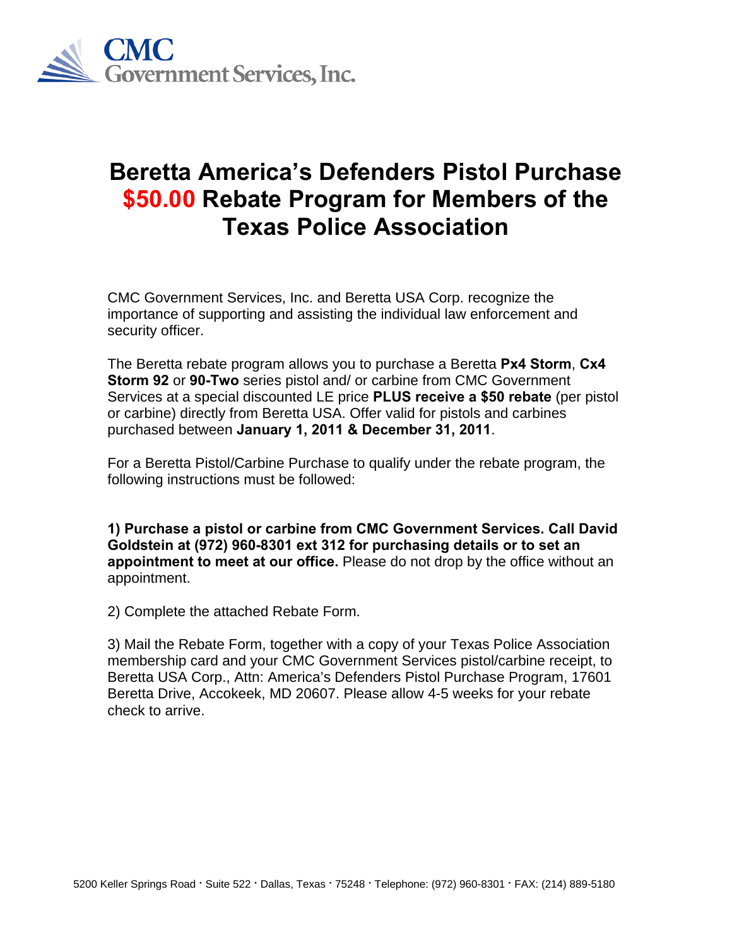

## **Beretta America's Defenders Pistol Purchase \$50.00 Rebate Program for Members of the Texas Police Association**

CMC Government Services, Inc. and Beretta USA Corp. recognize the importance of supporting and assisting the individual law enforcement and security officer.

The Beretta rebate program allows you to purchase a Beretta **Px4 Storm**, **Cx4 Storm 92** or **90-Two** series pistol and/ or carbine from CMC Government Services at a special discounted LE price **PLUS receive a \$50 rebate** (per pistol or carbine) directly from Beretta USA. Offer valid for pistols and carbines purchased between **January 1, 2011 & December 31, 2011**.

For a Beretta Pistol/Carbine Purchase to qualify under the rebate program, the following instructions must be followed:

**1) Purchase a pistol or carbine from CMC Government Services. Call David Goldstein at (972) 960-8301 ext 312 for purchasing details or to set an appointment to meet at our office.** Please do not drop by the office without an appointment.

2) Complete the attached Rebate Form.

3) Mail the Rebate Form, together with a copy of your Texas Police Association membership card and your CMC Government Services pistol/carbine receipt, to Beretta USA Corp., Attn: America's Defenders Pistol Purchase Program, 17601 Beretta Drive, Accokeek, MD 20607. Please allow 4-5 weeks for your rebate check to arrive.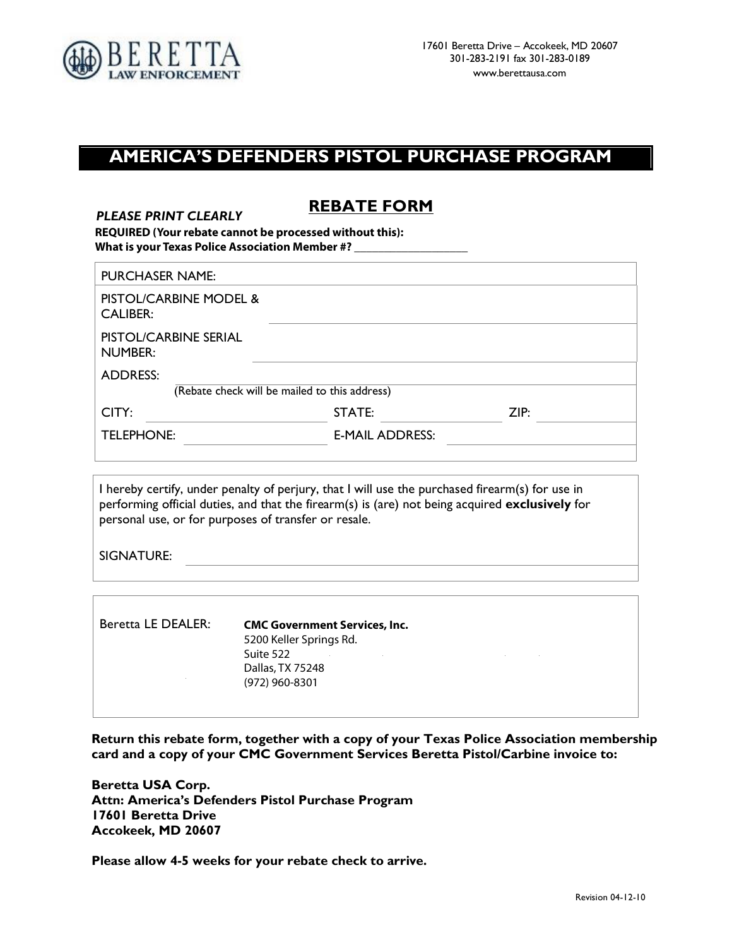

## **AMERICA'S DEFENDERS PISTOL PURCHASE PROGRAM**

## **REBATE FORM** *PLEASE PRINT CLEARLY*

**REQUIRED (Your rebate cannot be processed without this): What is your Texas Police Association Member #? \_\_\_\_\_\_\_\_\_\_\_\_\_\_\_\_\_\_\_**

| <b>PURCHASER NAME:</b>                    |                                               |      |
|-------------------------------------------|-----------------------------------------------|------|
| PISTOL/CARBINE MODEL &<br><b>CALIBER:</b> |                                               |      |
| PISTOL/CARBINE SERIAL<br><b>NUMBER:</b>   |                                               |      |
| <b>ADDRESS:</b>                           |                                               |      |
|                                           | (Rebate check will be mailed to this address) |      |
| CITY:                                     | STATE:                                        | ZIP: |
| TELEPHONE:                                | <b>E-MAIL ADDRESS:</b>                        |      |
|                                           |                                               |      |

I hereby certify, under penalty of perjury, that I will use the purchased firearm(s) for use in performing official duties, and that the firearm(s) is (are) not being acquired **exclusively** for personal use, or for purposes of transfer or resale.

SIGNATURE:

| Beretta LE DEALER: | <b>CMC Government Services, Inc.</b><br>5200 Keller Springs Rd.<br>Suite 522 |  |
|--------------------|------------------------------------------------------------------------------|--|
|                    | Dallas, TX 75248<br>(972) 960-8301                                           |  |
|                    |                                                                              |  |

<u> 1989 - Johann Stoff, deutscher Stoff, der Stoff, der Stoff, der Stoff, der Stoff, der Stoff, der Stoff, der S</u>

**Return this rebate form, together with a copy of your Texas Police Association membership card and a copy of your CMC Government Services Beretta Pistol/Carbine invoice to:**

**Beretta USA Corp. Attn: America's Defenders Pistol Purchase Program 17601 Beretta Drive Accokeek, MD 20607**

**Please allow 4-5 weeks for your rebate check to arrive.**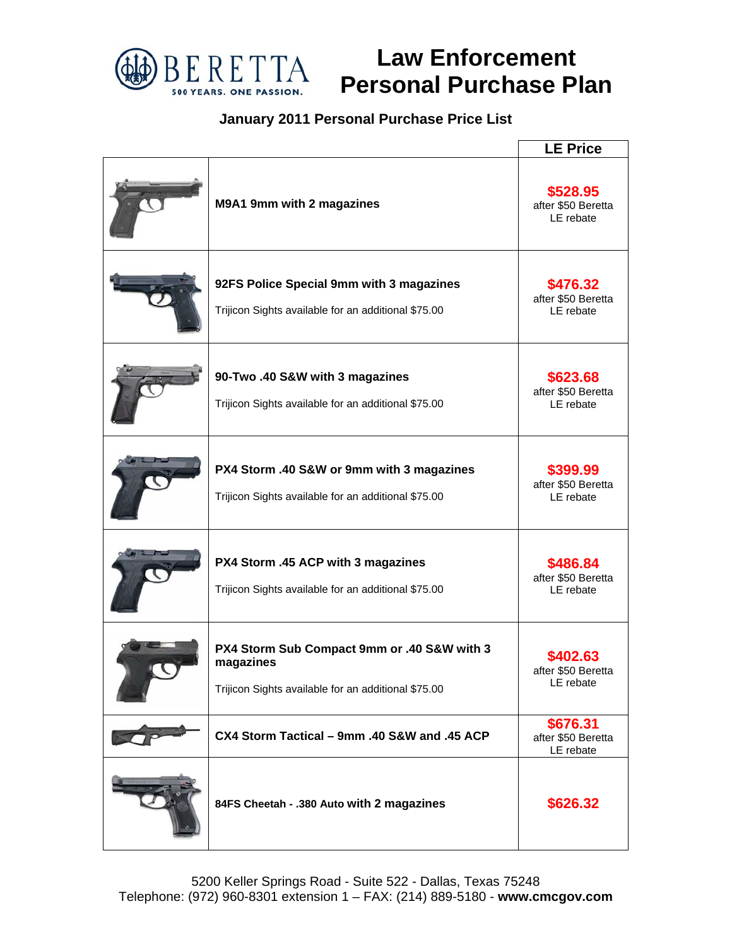

## **Law Enforcement Personal Purchase Plan**

## **January 2011 Personal Purchase Price List**

|                                                                                                                 | <b>LE Price</b>                             |
|-----------------------------------------------------------------------------------------------------------------|---------------------------------------------|
| M9A1 9mm with 2 magazines                                                                                       | \$528.95<br>after \$50 Beretta<br>LE rebate |
| 92FS Police Special 9mm with 3 magazines<br>Trijicon Sights available for an additional \$75.00                 | \$476.32<br>after \$50 Beretta<br>LE rebate |
| 90-Two .40 S&W with 3 magazines<br>Trijicon Sights available for an additional \$75.00                          | \$623.68<br>after \$50 Beretta<br>LE rebate |
| PX4 Storm .40 S&W or 9mm with 3 magazines<br>Trijicon Sights available for an additional \$75.00                | \$399.99<br>after \$50 Beretta<br>LE rebate |
| PX4 Storm .45 ACP with 3 magazines<br>Trijicon Sights available for an additional \$75.00                       | \$486.84<br>after \$50 Beretta<br>LE rebate |
| PX4 Storm Sub Compact 9mm or .40 S&W with 3<br>magazines<br>Trijicon Sights available for an additional \$75.00 | \$402.63<br>after \$50 Beretta<br>LE rebate |
| CX4 Storm Tactical - 9mm .40 S&W and .45 ACP                                                                    | \$676.31<br>after \$50 Beretta<br>LE rebate |
| 84FS Cheetah - .380 Auto with 2 magazines                                                                       | \$626.32                                    |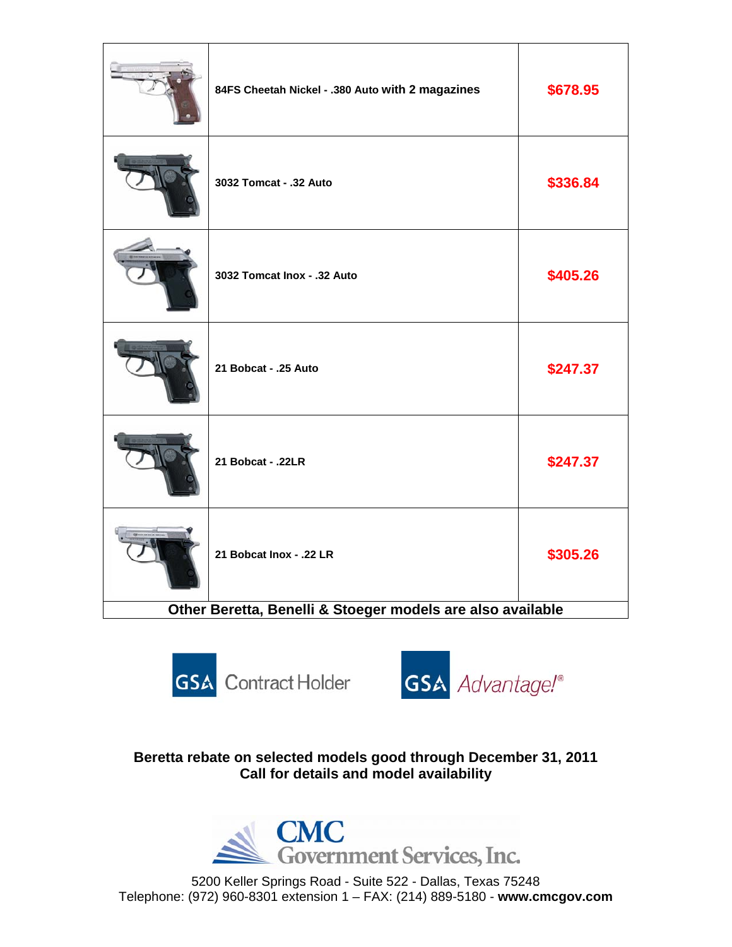| 84FS Cheetah Nickel - .380 Auto with 2 magazines           | \$678.95 |
|------------------------------------------------------------|----------|
| 3032 Tomcat - .32 Auto                                     | \$336.84 |
| 3032 Tomcat Inox - .32 Auto                                | \$405.26 |
| 21 Bobcat - .25 Auto                                       | \$247.37 |
| 21 Bobcat - .22LR                                          | \$247.37 |
| 21 Bobcat Inox - .22 LR                                    | \$305.26 |
| Other Beretta, Benelli & Stoeger models are also available |          |





**Beretta rebate on selected models good through December 31, 2011 Call for details and model availability** 



5200 Keller Springs Road - Suite 522 - Dallas, Texas 75248 Telephone: (972) 960-8301 extension 1 – FAX: (214) 889-5180 - **www.cmcgov.com**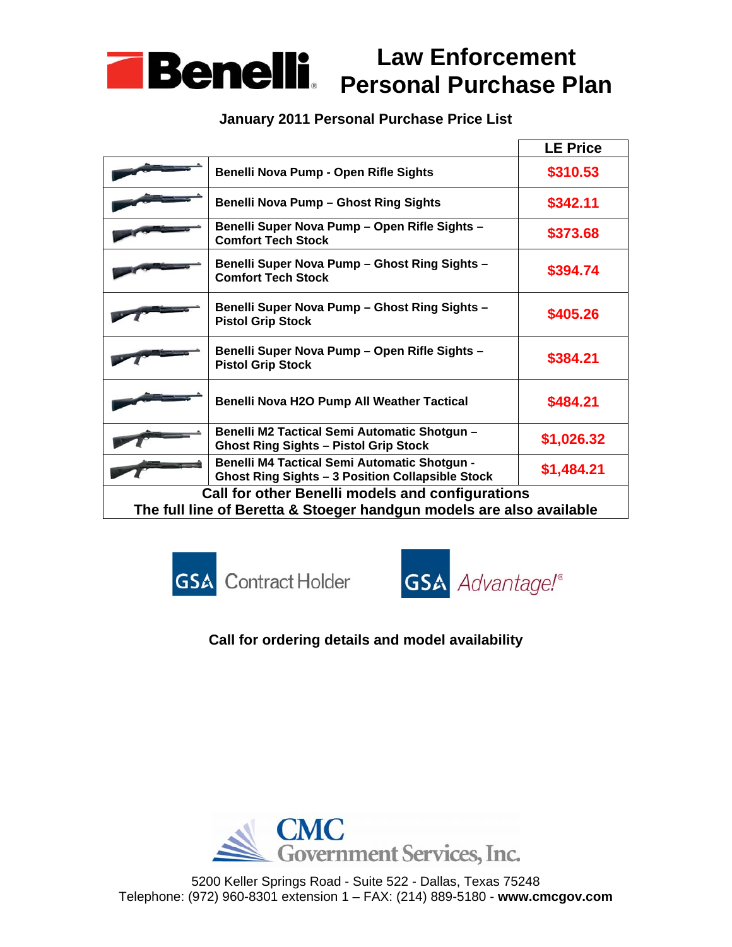

## **January 2011 Personal Purchase Price List**

|                                                                                                                          |                                                                                                                | <b>LE Price</b> |
|--------------------------------------------------------------------------------------------------------------------------|----------------------------------------------------------------------------------------------------------------|-----------------|
|                                                                                                                          | Benelli Nova Pump - Open Rifle Sights                                                                          | \$310.53        |
|                                                                                                                          | <b>Benelli Nova Pump - Ghost Ring Sights</b>                                                                   | \$342.11        |
|                                                                                                                          | Benelli Super Nova Pump - Open Rifle Sights -<br><b>Comfort Tech Stock</b>                                     | \$373.68        |
|                                                                                                                          | Benelli Super Nova Pump - Ghost Ring Sights -<br><b>Comfort Tech Stock</b>                                     | \$394.74        |
|                                                                                                                          | Benelli Super Nova Pump - Ghost Ring Sights -<br><b>Pistol Grip Stock</b>                                      | \$405.26        |
|                                                                                                                          | Benelli Super Nova Pump - Open Rifle Sights -<br><b>Pistol Grip Stock</b>                                      | \$384.21        |
|                                                                                                                          | Benelli Nova H2O Pump All Weather Tactical                                                                     | \$484.21        |
|                                                                                                                          | Benelli M2 Tactical Semi Automatic Shotgun -<br><b>Ghost Ring Sights - Pistol Grip Stock</b>                   | \$1,026.32      |
|                                                                                                                          | <b>Benelli M4 Tactical Semi Automatic Shotgun -</b><br><b>Ghost Ring Sights - 3 Position Collapsible Stock</b> | \$1,484.21      |
| Call for other Benelli models and configurations<br>The full line of Beretta & Stoeger handgun models are also available |                                                                                                                |                 |
|                                                                                                                          |                                                                                                                |                 |





**Call for ordering details and model availability** 



5200 Keller Springs Road - Suite 522 - Dallas, Texas 75248 Telephone: (972) 960-8301 extension 1 – FAX: (214) 889-5180 - **www.cmcgov.com**